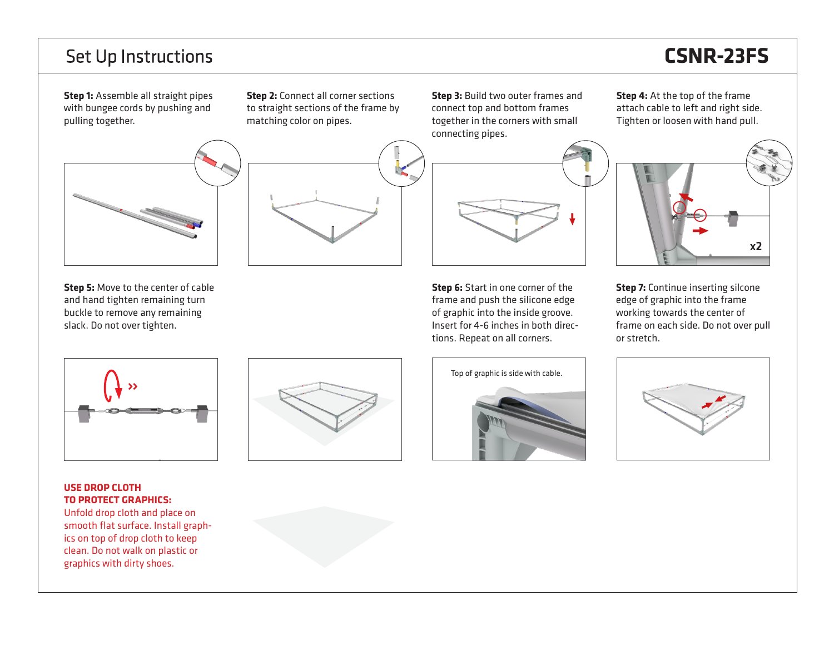### **Set Up Instructions**

# **CSNR-23FS**

**Step 1:** Assemble all straight pipes with bungee cords by pushing and pulling together.

**Step 2:** Connect all corner sections to straight sections of the frame by matching color on pipes.

**Step 3:** Build two outer frames and connect top and bottom frames together in the corners with small connecting pipes.



**Step 6:** Start in one corner of the frame and push the silicone edge of graphic into the inside groove. Insert for 4-6 inches in both directions. Repeat on all corners.

**Step 4:** At the top of the frame attach cable to left and right side. Tighten or loosen with hand pull.



**Step 7:** Continue inserting silcone edge of graphic into the frame working towards the center of frame on each side. Do not over pull or stretch.



**Step 5:** Move to the center of cable and hand tighten remaining turn buckle to remove any remaining slack. Do not over tighten.

#### **USE DROP CLOTH TO PROTECT GRAPHICS:**

Unfold drop cloth and place on smooth flat surface. Install graphics on top of drop cloth to keep clean. Do not walk on plastic or graphics with dirty shoes.





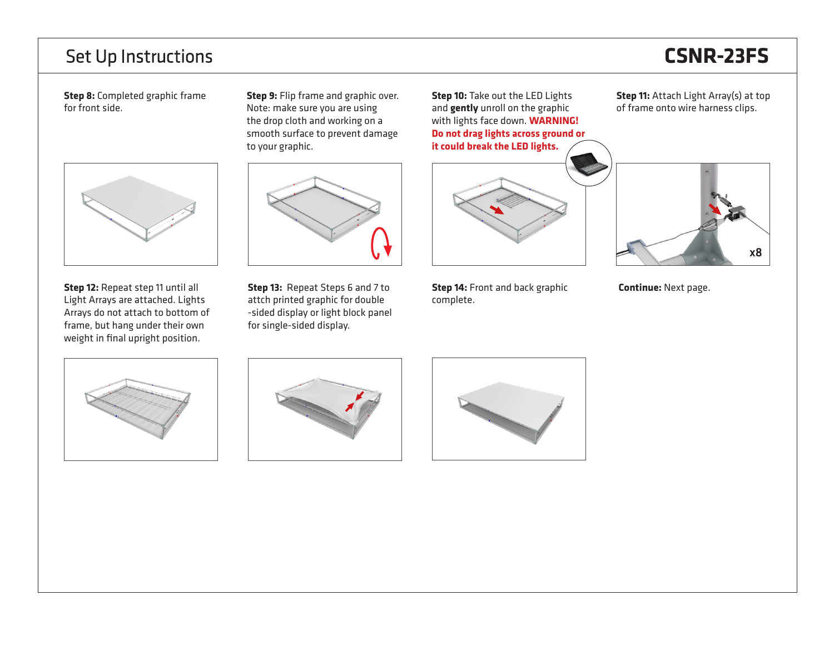#### **Set Up Instructions**

# **CSNR-23FS**

**Step 8:** Completed graphic frame for front side.



**Step 12:** Repeat step 11 until all Light Arrays are attached. Lights Arrays do not attach to bottom of frame, but hang under their own weight in final upright position.

**Step 9:** Flip frame and graphic over. Note: make sure you are using the drop cloth and working on a smooth surface to prevent damage to your graphic.



**Step 13:** Repeat Steps 6 and 7 to attch printed graphic for double -sided display or light block panel for single-sided display.

**Step 10:** Take out the LED Lights and **gently** unroll on the graphic with lights face down. **WARNING! Do not drag lights across ground or it could break the LED lights.**



**Step 14:** Front and back graphic complete.

**Step 11:** Attach Light Array(s) at top of frame onto wire harness clips.



**Continue:** Next page.